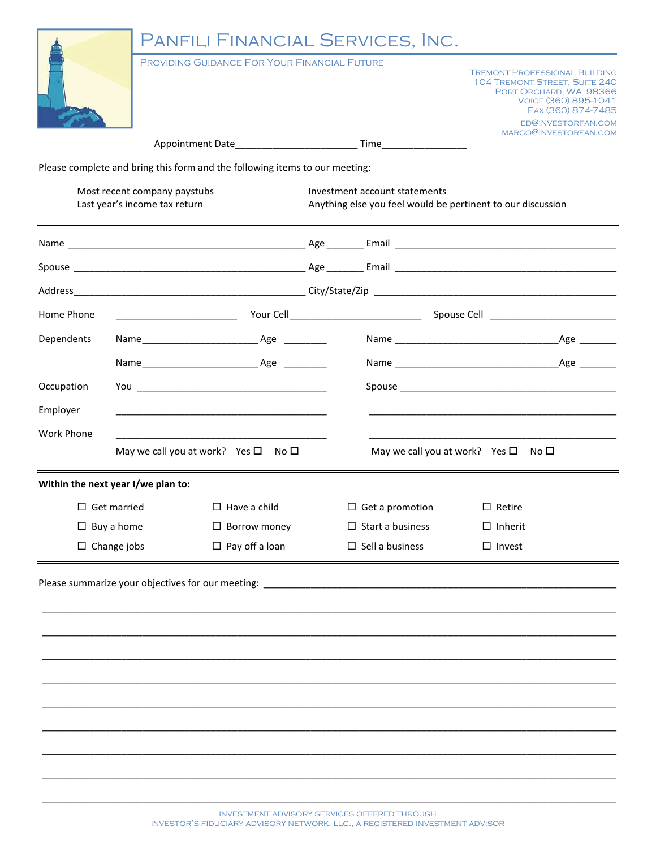|                                                               |  | PANFILI FINANCIAL SERVICES, INC.                                                 |                                                                                              |                                        |                                                                       |                                                                                            |
|---------------------------------------------------------------|--|----------------------------------------------------------------------------------|----------------------------------------------------------------------------------------------|----------------------------------------|-----------------------------------------------------------------------|--------------------------------------------------------------------------------------------|
|                                                               |  | PROVIDING GUIDANCE FOR YOUR FINANCIAL FUTURE                                     |                                                                                              |                                        | <b>TREMONT PROFESSIONAL BUILDING</b><br>104 TREMONT STREET, SUITE 240 | PORT ORCHARD, WA 98366<br>VOICE (360) 895-1041<br>FAX (360) 874-7485<br>ED@INVESTORFAN.COM |
|                                                               |  |                                                                                  |                                                                                              |                                        |                                                                       | MARGO@INVESTORFAN.COM                                                                      |
|                                                               |  | Please complete and bring this form and the following items to our meeting:      |                                                                                              |                                        |                                                                       |                                                                                            |
| Most recent company paystubs<br>Last year's income tax return |  |                                                                                  | Investment account statements<br>Anything else you feel would be pertinent to our discussion |                                        |                                                                       |                                                                                            |
|                                                               |  |                                                                                  |                                                                                              |                                        |                                                                       |                                                                                            |
|                                                               |  |                                                                                  |                                                                                              |                                        |                                                                       |                                                                                            |
|                                                               |  |                                                                                  |                                                                                              |                                        |                                                                       |                                                                                            |
| Home Phone                                                    |  |                                                                                  |                                                                                              |                                        |                                                                       |                                                                                            |
| Dependents                                                    |  |                                                                                  |                                                                                              |                                        |                                                                       |                                                                                            |
|                                                               |  |                                                                                  |                                                                                              |                                        |                                                                       |                                                                                            |
| Occupation                                                    |  |                                                                                  |                                                                                              |                                        |                                                                       |                                                                                            |
| Employer                                                      |  |                                                                                  |                                                                                              |                                        |                                                                       |                                                                                            |
| <b>Work Phone</b>                                             |  |                                                                                  |                                                                                              |                                        |                                                                       |                                                                                            |
|                                                               |  | May we call you at work? Yes $\square$ No $\square$                              |                                                                                              | May we call you at work? Yes $\square$ | No $\Box$                                                             |                                                                                            |
| Within the next year I/we plan to:                            |  |                                                                                  |                                                                                              |                                        |                                                                       |                                                                                            |
| $\Box$ Get married                                            |  | $\Box$ Have a child                                                              |                                                                                              | $\Box$ Get a promotion                 | $\Box$ Retire                                                         |                                                                                            |
| $\Box$ Buy a home                                             |  | $\Box$ Borrow money                                                              |                                                                                              | $\Box$ Start a business                | $\Box$ Inherit                                                        |                                                                                            |
| $\Box$ Change jobs                                            |  | $\Box$ Pay off a loan                                                            |                                                                                              | $\Box$ Sell a business                 | $\Box$ Invest                                                         |                                                                                            |
|                                                               |  | Please summarize your objectives for our meeting: ______________________________ |                                                                                              |                                        |                                                                       |                                                                                            |
|                                                               |  |                                                                                  |                                                                                              |                                        |                                                                       |                                                                                            |
|                                                               |  |                                                                                  |                                                                                              |                                        |                                                                       |                                                                                            |
|                                                               |  |                                                                                  |                                                                                              |                                        |                                                                       |                                                                                            |
|                                                               |  |                                                                                  |                                                                                              |                                        |                                                                       |                                                                                            |
|                                                               |  |                                                                                  |                                                                                              |                                        |                                                                       |                                                                                            |
|                                                               |  |                                                                                  |                                                                                              |                                        |                                                                       |                                                                                            |
|                                                               |  |                                                                                  |                                                                                              |                                        |                                                                       |                                                                                            |
|                                                               |  |                                                                                  |                                                                                              |                                        |                                                                       |                                                                                            |

\_\_\_\_\_\_\_\_\_\_\_\_\_\_\_\_\_\_\_\_\_\_\_\_\_\_\_\_\_\_\_\_\_\_\_\_\_\_\_\_\_\_\_\_\_\_\_\_\_\_\_\_\_\_\_\_\_\_\_\_\_\_\_\_\_\_\_\_\_\_\_\_\_\_\_\_\_\_\_\_\_\_\_\_\_\_\_\_\_\_\_\_\_\_\_\_\_\_\_\_\_\_\_\_\_\_\_\_\_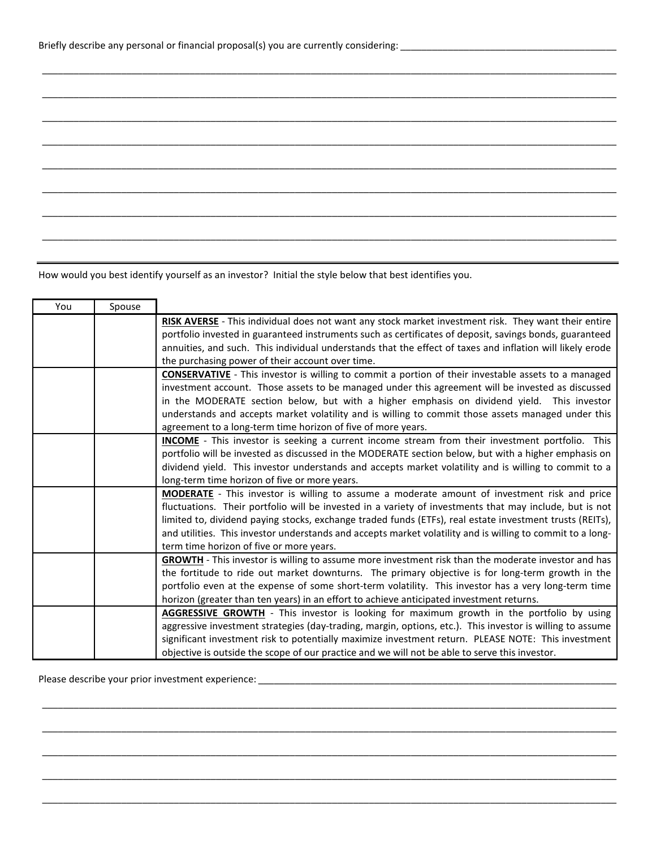How would you best identify yourself as an investor? Initial the style below that best identifies you.

| You | Spouse |                                                                                                            |
|-----|--------|------------------------------------------------------------------------------------------------------------|
|     |        | RISK AVERSE - This individual does not want any stock market investment risk. They want their entire       |
|     |        | portfolio invested in guaranteed instruments such as certificates of deposit, savings bonds, guaranteed    |
|     |        | annuities, and such. This individual understands that the effect of taxes and inflation will likely erode  |
|     |        | the purchasing power of their account over time.                                                           |
|     |        | <b>CONSERVATIVE</b> - This investor is willing to commit a portion of their investable assets to a managed |
|     |        | investment account. Those assets to be managed under this agreement will be invested as discussed          |
|     |        | in the MODERATE section below, but with a higher emphasis on dividend yield. This investor                 |
|     |        | understands and accepts market volatility and is willing to commit those assets managed under this         |
|     |        | agreement to a long-term time horizon of five of more years.                                               |
|     |        | <b>INCOME</b> - This investor is seeking a current income stream from their investment portfolio. This     |
|     |        | portfolio will be invested as discussed in the MODERATE section below, but with a higher emphasis on       |
|     |        | dividend yield. This investor understands and accepts market volatility and is willing to commit to a      |
|     |        | long-term time horizon of five or more years.                                                              |
|     |        | <b>MODERATE</b> - This investor is willing to assume a moderate amount of investment risk and price        |
|     |        | fluctuations. Their portfolio will be invested in a variety of investments that may include, but is not    |
|     |        | limited to, dividend paying stocks, exchange traded funds (ETFs), real estate investment trusts (REITs),   |
|     |        | and utilities. This investor understands and accepts market volatility and is willing to commit to a long- |
|     |        | term time horizon of five or more years.                                                                   |
|     |        | <b>GROWTH</b> - This investor is willing to assume more investment risk than the moderate investor and has |
|     |        | the fortitude to ride out market downturns. The primary objective is for long-term growth in the           |
|     |        | portfolio even at the expense of some short-term volatility. This investor has a very long-term time       |
|     |        | horizon (greater than ten years) in an effort to achieve anticipated investment returns.                   |
|     |        | <b>AGGRESSIVE GROWTH</b> - This investor is looking for maximum growth in the portfolio by using           |
|     |        | aggressive investment strategies (day-trading, margin, options, etc.). This investor is willing to assume  |
|     |        | significant investment risk to potentially maximize investment return. PLEASE NOTE: This investment        |
|     |        | objective is outside the scope of our practice and we will not be able to serve this investor.             |

\_\_\_\_\_\_\_\_\_\_\_\_\_\_\_\_\_\_\_\_\_\_\_\_\_\_\_\_\_\_\_\_\_\_\_\_\_\_\_\_\_\_\_\_\_\_\_\_\_\_\_\_\_\_\_\_\_\_\_\_\_\_\_\_\_\_\_\_\_\_\_\_\_\_\_\_\_\_\_\_\_\_\_\_\_\_\_\_\_\_\_\_\_\_\_\_\_\_\_\_\_\_\_\_\_\_\_\_\_

\_\_\_\_\_\_\_\_\_\_\_\_\_\_\_\_\_\_\_\_\_\_\_\_\_\_\_\_\_\_\_\_\_\_\_\_\_\_\_\_\_\_\_\_\_\_\_\_\_\_\_\_\_\_\_\_\_\_\_\_\_\_\_\_\_\_\_\_\_\_\_\_\_\_\_\_\_\_\_\_\_\_\_\_\_\_\_\_\_\_\_\_\_\_\_\_\_\_\_\_\_\_\_\_\_\_\_\_\_

\_\_\_\_\_\_\_\_\_\_\_\_\_\_\_\_\_\_\_\_\_\_\_\_\_\_\_\_\_\_\_\_\_\_\_\_\_\_\_\_\_\_\_\_\_\_\_\_\_\_\_\_\_\_\_\_\_\_\_\_\_\_\_\_\_\_\_\_\_\_\_\_\_\_\_\_\_\_\_\_\_\_\_\_\_\_\_\_\_\_\_\_\_\_\_\_\_\_\_\_\_\_\_\_\_\_\_\_\_

\_\_\_\_\_\_\_\_\_\_\_\_\_\_\_\_\_\_\_\_\_\_\_\_\_\_\_\_\_\_\_\_\_\_\_\_\_\_\_\_\_\_\_\_\_\_\_\_\_\_\_\_\_\_\_\_\_\_\_\_\_\_\_\_\_\_\_\_\_\_\_\_\_\_\_\_\_\_\_\_\_\_\_\_\_\_\_\_\_\_\_\_\_\_\_\_\_\_\_\_\_\_\_\_\_\_\_\_\_

\_\_\_\_\_\_\_\_\_\_\_\_\_\_\_\_\_\_\_\_\_\_\_\_\_\_\_\_\_\_\_\_\_\_\_\_\_\_\_\_\_\_\_\_\_\_\_\_\_\_\_\_\_\_\_\_\_\_\_\_\_\_\_\_\_\_\_\_\_\_\_\_\_\_\_\_\_\_\_\_\_\_\_\_\_\_\_\_\_\_\_\_\_\_\_\_\_\_\_\_\_\_\_\_\_\_\_\_\_

\_\_\_\_\_\_\_\_\_\_\_\_\_\_\_\_\_\_\_\_\_\_\_\_\_\_\_\_\_\_\_\_\_\_\_\_\_\_\_\_\_\_\_\_\_\_\_\_\_\_\_\_\_\_\_\_\_\_\_\_\_\_\_\_\_\_\_\_\_\_\_\_\_\_\_\_\_\_\_\_\_\_\_\_\_\_\_\_\_\_\_\_\_\_\_\_\_\_\_\_\_\_\_\_\_\_\_\_\_

\_\_\_\_\_\_\_\_\_\_\_\_\_\_\_\_\_\_\_\_\_\_\_\_\_\_\_\_\_\_\_\_\_\_\_\_\_\_\_\_\_\_\_\_\_\_\_\_\_\_\_\_\_\_\_\_\_\_\_\_\_\_\_\_\_\_\_\_\_\_\_\_\_\_\_\_\_\_\_\_\_\_\_\_\_\_\_\_\_\_\_\_\_\_\_\_\_\_\_\_\_\_\_\_\_\_\_\_\_

\_\_\_\_\_\_\_\_\_\_\_\_\_\_\_\_\_\_\_\_\_\_\_\_\_\_\_\_\_\_\_\_\_\_\_\_\_\_\_\_\_\_\_\_\_\_\_\_\_\_\_\_\_\_\_\_\_\_\_\_\_\_\_\_\_\_\_\_\_\_\_\_\_\_\_\_\_\_\_\_\_\_\_\_\_\_\_\_\_\_\_\_\_\_\_\_\_\_\_\_\_\_\_\_\_\_\_\_\_

\_\_\_\_\_\_\_\_\_\_\_\_\_\_\_\_\_\_\_\_\_\_\_\_\_\_\_\_\_\_\_\_\_\_\_\_\_\_\_\_\_\_\_\_\_\_\_\_\_\_\_\_\_\_\_\_\_\_\_\_\_\_\_\_\_\_\_\_\_\_\_\_\_\_\_\_\_\_\_\_\_\_\_\_\_\_\_\_\_\_\_\_\_\_\_\_\_\_\_\_\_\_\_\_\_\_\_\_\_

\_\_\_\_\_\_\_\_\_\_\_\_\_\_\_\_\_\_\_\_\_\_\_\_\_\_\_\_\_\_\_\_\_\_\_\_\_\_\_\_\_\_\_\_\_\_\_\_\_\_\_\_\_\_\_\_\_\_\_\_\_\_\_\_\_\_\_\_\_\_\_\_\_\_\_\_\_\_\_\_\_\_\_\_\_\_\_\_\_\_\_\_\_\_\_\_\_\_\_\_\_\_\_\_\_\_\_\_\_

\_\_\_\_\_\_\_\_\_\_\_\_\_\_\_\_\_\_\_\_\_\_\_\_\_\_\_\_\_\_\_\_\_\_\_\_\_\_\_\_\_\_\_\_\_\_\_\_\_\_\_\_\_\_\_\_\_\_\_\_\_\_\_\_\_\_\_\_\_\_\_\_\_\_\_\_\_\_\_\_\_\_\_\_\_\_\_\_\_\_\_\_\_\_\_\_\_\_\_\_\_\_\_\_\_\_\_\_\_

\_\_\_\_\_\_\_\_\_\_\_\_\_\_\_\_\_\_\_\_\_\_\_\_\_\_\_\_\_\_\_\_\_\_\_\_\_\_\_\_\_\_\_\_\_\_\_\_\_\_\_\_\_\_\_\_\_\_\_\_\_\_\_\_\_\_\_\_\_\_\_\_\_\_\_\_\_\_\_\_\_\_\_\_\_\_\_\_\_\_\_\_\_\_\_\_\_\_\_\_\_\_\_\_\_\_\_\_\_

\_\_\_\_\_\_\_\_\_\_\_\_\_\_\_\_\_\_\_\_\_\_\_\_\_\_\_\_\_\_\_\_\_\_\_\_\_\_\_\_\_\_\_\_\_\_\_\_\_\_\_\_\_\_\_\_\_\_\_\_\_\_\_\_\_\_\_\_\_\_\_\_\_\_\_\_\_\_\_\_\_\_\_\_\_\_\_\_\_\_\_\_\_\_\_\_\_\_\_\_\_\_\_\_\_\_\_\_\_

Please describe your prior investment experience: \_\_\_\_\_\_\_\_\_\_\_\_\_\_\_\_\_\_\_\_\_\_\_\_\_\_\_\_\_\_\_\_\_\_\_\_\_\_\_\_\_\_\_\_\_\_\_\_\_\_\_\_\_\_\_\_\_\_\_\_\_\_\_\_\_\_\_\_